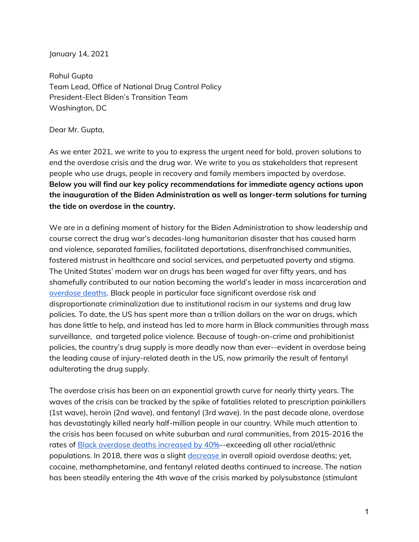January 14, 2021

Rahul Gupta Team Lead, Office of National Drug Control Policy President-Elect Biden's Transition Team Washington, DC

Dear Mr. Gupta,

As we enter 2021, we write to you to express the urgent need for bold, proven solutions to end the overdose crisis and the drug war. We write to you as stakeholders that represent people who use drugs, people in recovery and family members impacted by overdose. **Below you will find our key policy recommendations for immediate agency actions upon the inauguration of the Biden Administration as well as longer-term solutions for turning the tide on overdose in the country.** 

We are in a defining moment of history for the Biden Administration to show leadership and course correct the drug war's decades-long humanitarian disaster that has caused harm and violence, separated families, facilitated deportations, disenfranchised communities, fostered mistrust in healthcare and social services, and perpetuated poverty and stigma. The United States' modern war on drugs has been waged for over fifty years, and has shamefully contributed to our nation becoming the world's leader in mass incarceration and [overdose deaths](https://www.statista.com/chart/9973/drug-related-deaths-and-mortality-rate-worldwide/). Black people in particular face significant overdose risk and disproportionate criminalization due to institutional racism in our systems and drug law policies. To date, the US has spent more than a trillion dollars on the war on drugs, which has done little to help, and instead has led to more harm in Black communities through mass surveillance, and targeted police violence. Because of tough-on-crime and prohibitionist policies, the country's drug supply is more deadly now than ever--evident in overdose being the leading cause of injury-related death in the US, now primarily the result of fentanyl adulterating the drug supply.

The overdose crisis has been on an exponential growth curve for nearly thirty years. The waves of the crisis can be tracked by the spike of fatalities related to prescription painkillers (1st wave), heroin (2nd wave), and fentanyl (3rd wave). In the past decade alone, overdose has devastatingly killed nearly half-million people in our country. While much attention to the crisis has been focused on white suburban and rural communities, from 2015-2016 the rates of **Black overdose deaths increased by 40%**--exceeding all other racial/ethnic populations. In 2018, there was a slight [decrease](https://www.cdc.gov/nchs/nvss/vsrr/drug-overdose-data.htm) in overall opioid overdose deaths; yet, cocaine, methamphetamine, and fentanyl related deaths continued to increase. The nation has been steadily entering the 4th wave of the crisis marked by polysubstance (stimulant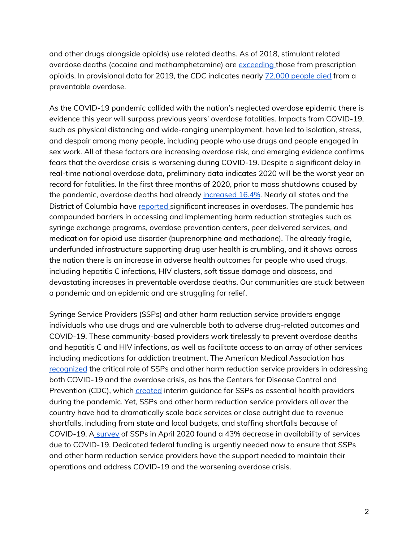and other drugs alongside opioids) use related deaths. As of 2018, stimulant related overdose deaths (cocaine and methamphetamine) are [exceeding t](https://www.drugabuse.gov/drug-topics/trends-statistics/overdose-death-rates)hose from prescription opioids. In provisional data for 2019, the CDC indicates nearly [72,000 people died](https://www.cdc.gov/nchs/nvss/vsrr/drug-overdose-data.htm) from a preventable overdose.

As the COVID-19 pandemic collided with the nation's neglected overdose epidemic there is evidence this year will surpass previous years' overdose fatalities. Impacts from COVID-19, such as physical distancing and wide-ranging unemployment, have led to isolation, stress, and despair among many people, including people who use drugs and people engaged in sex work. All of these factors are increasing overdose risk, and emerging evidence confirms fears that the overdose crisis is worsening during COVID-19. Despite a significant delay in real-time national overdose data, preliminary data indicates 2020 will be the worst year on record for fatalities. In the first three months of 2020, prior to mass shutdowns caused by the pandemic, overdose deaths had already [increased 16.4%](https://jamanetwork.com/channels/health-forum/fullarticle/2772241). Nearly all states and the District of Columbia have [reported s](https://www.ama-assn.org/system/files/2020-11/issue-brief-increases-in-opioid-related-overdose.pdf)ignificant increases in overdoses. The pandemic has compounded barriers in accessing and implementing harm reduction strategies such as syringe exchange programs, overdose prevention centers, peer delivered services, and medication for opioid use disorder (buprenorphine and methadone). The already fragile, underfunded infrastructure supporting drug user health is crumbling, and it shows across the nation there is an increase in adverse health outcomes for people who used drugs, including hepatitis C infections, HIV clusters, soft tissue damage and abscess, and devastating increases in preventable overdose deaths. Our communities are stuck between a pandemic and an epidemic and are struggling for relief.

Syringe Service Providers (SSPs) and other harm reduction service providers engage individuals who use drugs and are vulnerable both to adverse drug-related outcomes and COVID-19. These community-based providers work tirelessly to prevent overdose deaths and hepatitis C and HIV infections, as well as facilitate access to an array of other services including medications for addiction treatment. The American Medical Association has [recognized](https://www.ama-assn.org/delivering-care/public-health/covid-19-policy-recommendations-oud-pain-harm-reduction) the critical role of SSPs and other harm reduction service providers in addressing both COVID-19 and the overdose crisis, as has the Centers for Disease Control and Prevention (CDC), which [created](https://www.cdc.gov/coronavirus/2019-ncov/php/syringe-service-programs.html) interim guidance for SSPs as essential health providers during the pandemic. Yet, SSPs and other harm reduction service providers all over the country have had to dramatically scale back services or close outright due to revenue shortfalls, including from state and local budgets, and staffing shortfalls because of COVID-19. [A survey](https://www.ncbi.nlm.nih.gov/pmc/articles/PMC7182093/) of SSPs in April 2020 found a 43% decrease in availability of services due to COVID-19. Dedicated federal funding is urgently needed now to ensure that SSPs and other harm reduction service providers have the support needed to maintain their operations and address COVID-19 and the worsening overdose crisis.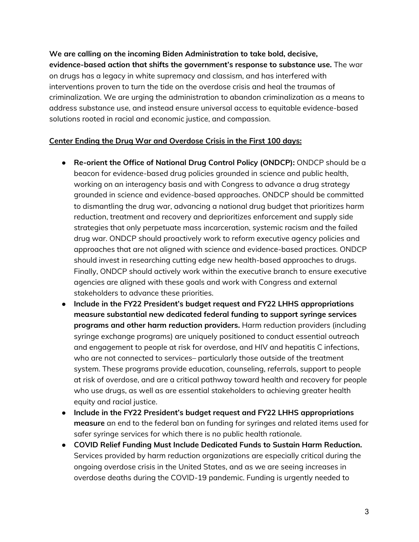**We are calling on the incoming Biden Administration to take bold, decisive, evidence-based action that shifts the government's response to substance use.** The war on drugs has a legacy in white supremacy and classism, and has interfered with interventions proven to turn the tide on the overdose crisis and heal the traumas of criminalization. We are urging the administration to abandon criminalization as a means to address substance use, and instead ensure universal access to equitable evidence-based solutions rooted in racial and economic justice, and compassion.

## **Center Ending the Drug War and Overdose Crisis in the First 100 days:**

- **● Re-orient the Office of National Drug Control Policy (ONDCP):** ONDCP should be a beacon for evidence-based drug policies grounded in science and public health, working on an interagency basis and with Congress to advance a drug strategy grounded in science and evidence-based approaches. ONDCP should be committed to dismantling the drug war, advancing a national drug budget that prioritizes harm reduction, treatment and recovery and deprioritizes enforcement and supply side strategies that only perpetuate mass incarceration, systemic racism and the failed drug war. ONDCP should proactively work to reform executive agency policies and approaches that are not aligned with science and evidence-based practices. ONDCP should invest in researching cutting edge new health-based approaches to drugs. Finally, ONDCP should actively work within the executive branch to ensure executive agencies are aligned with these goals and work with Congress and external stakeholders to advance these priorities.
- *●* **Include in the FY22 President's budget request and FY22 LHHS appropriations measure substantial new dedicated federal funding to support syringe services programs and other harm reduction providers.** Harm reduction providers (including syringe exchange programs) are uniquely positioned to conduct essential outreach and engagement to people at risk for overdose, and HIV and hepatitis C infections, who are not connected to services– particularly those outside of the treatment system. These programs provide education, counseling, referrals, support to people at risk of overdose, and are a critical pathway toward health and recovery for people who use drugs, as well as are essential stakeholders to achieving greater health equity and racial justice.
- *●* **Include in the FY22 President's budget request and FY22 LHHS appropriations measure** an end to the federal ban on funding for syringes and related items used for safer syringe services for which there is no public health rationale.
- **COVID Relief Funding Must Include Dedicated Funds to Sustain Harm Reduction.**  Services provided by harm reduction organizations are especially critical during the ongoing overdose crisis in the United States, and as we are seeing increases in overdose deaths during the COVID-19 pandemic. Funding is urgently needed to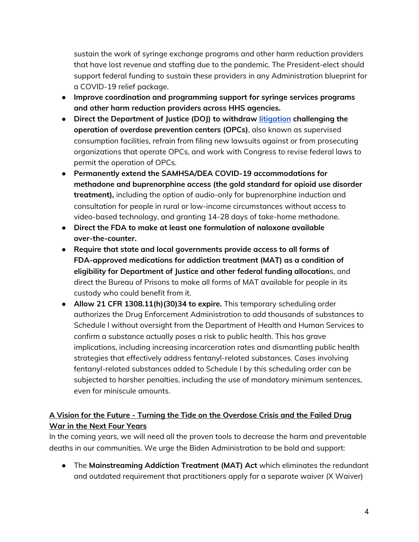sustain the work of syringe exchange programs and other harm reduction providers that have lost revenue and staffing due to the pandemic. The President-elect should support federal funding to sustain these providers in any Administration blueprint for a COVID-19 relief package.

- **Improve coordination and programming support for syringe services programs and other harm reduction providers across HHS agencies.**
- **Direct the Department of Justice (DOJ) to withdraw [litigation](https://www.safehousephilly.org/us-v-safehouse) challenging the operation of overdose prevention centers (OPCs)**, also known as supervised consumption facilities, refrain from filing new lawsuits against or from prosecuting organizations that operate OPCs, and work with Congress to revise federal laws to permit the operation of OPCs.
- **Permanently extend the SAMHSA/DEA COVID-19 accommodations for methadone and buprenorphine access (the gold standard for opioid use disorder treatment),** including the option of audio-only for buprenorphine induction and consultation for people in rural or low-income circumstances without access to video-based technology, and granting 14-28 days of take-home methadone.
- **● Direct the FDA to make at least one formulation of naloxone available over-the-counter.**
- **Require that state and local governments provide access to all forms of FDA-approved medications for addiction treatment (MAT) as a condition of eligibility for Department of Justice and other federal funding allocation**s, and direct the Bureau of Prisons to make all forms of MAT available for people in its custody who could benefit from it.
- **Allow 21 CFR 1308.11(h)(30)34 to expire.** This temporary scheduling order authorizes the Drug Enforcement Administration to add thousands of substances to Schedule I without oversight from the Department of Health and Human Services to confirm a substance actually poses a risk to public health. This has grave implications, including increasing incarceration rates and dismantling public health strategies that effectively address fentanyl-related substances. Cases involving fentanyl-related substances added to Schedule I by this scheduling order can be subjected to harsher penalties, including the use of mandatory minimum sentences, even for miniscule amounts.

## **A Vision for the Future - Turning the Tide on the Overdose Crisis and the Failed Drug War in the Next Four Years**

In the coming years, we will need all the proven tools to decrease the harm and preventable deaths in our communities. We urge the Biden Administration to be bold and support:

**●** The **Mainstreaming Addiction Treatment (MAT) Act** which eliminates the redundant and outdated requirement that practitioners apply for a separate waiver (X Waiver)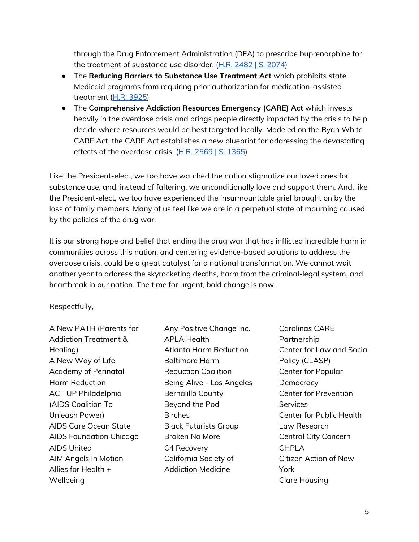through the Drug Enforcement Administration (DEA) to prescribe buprenorphine for the treatment of substance use disorder. [\(H.R. 2482 | S. 2074\)](https://www.congress.gov/bill/116th-congress/house-bill/2482?q=%7B%22search%22%3A%5B%222482%22%5D%7D&r=2&s=1)

- **●** The **Reducing Barriers to Substance Use Treatment Act** which prohibits state Medicaid programs from requiring prior authorization for medication-assisted treatment [\(H.R. 3925\)](https://www.congress.gov/bill/116th-congress/house-bill/3925?r=7&s=1)
- **●** The **Comprehensive Addiction Resources Emergency (CARE) Act** which invests heavily in the overdose crisis and brings people directly impacted by the crisis to help decide where resources would be best targeted locally. Modeled on the Ryan White CARE Act, the CARE Act establishes a new blueprint for addressing the devastating effects of the overdose crisis. ([H.R. 2569 | S. 1365](https://www.congress.gov/bill/116th-congress/senate-bill/1365))

Like the President-elect, we too have watched the nation stigmatize our loved ones for substance use, and, instead of faltering, we unconditionally love and support them. And, like the President-elect, we too have experienced the insurmountable grief brought on by the loss of family members. Many of us feel like we are in a perpetual state of mourning caused by the policies of the drug war.

It is our strong hope and belief that ending the drug war that has inflicted incredible harm in communities across this nation, and centering evidence-based solutions to address the overdose crisis, could be a great catalyst for a national transformation. We cannot wait another year to address the skyrocketing deaths, harm from the criminal-legal system, and heartbreak in our nation. The time for urgent, bold change is now.

Respectfully,

A New PATH (Parents for Addiction Treatment & Healing) A New Way of Life Academy of Perinatal Harm Reduction ACT UP Philadelphia (AIDS Coalition To Unleash Power) AIDS Care Ocean State AIDS Foundation Chicago AIDS United AIM Angels In Motion Allies for Health + Wellbeing

- Any Positive Change Inc. APLA Health Atlanta Harm Reduction Baltimore Harm Reduction Coalition Being Alive - Los Angeles Bernalillo County Beyond the Pod **Birches** Black Futurists Group Broken No More C4 Recovery California Society of Addiction Medicine
- Carolinas CARE Partnership Center for Law and Social Policy (CLASP) Center for Popular **Democracy** Center for Prevention **Services** Center for Public Health Law Research Central City Concern CHPLA Citizen Action of New York Clare Housing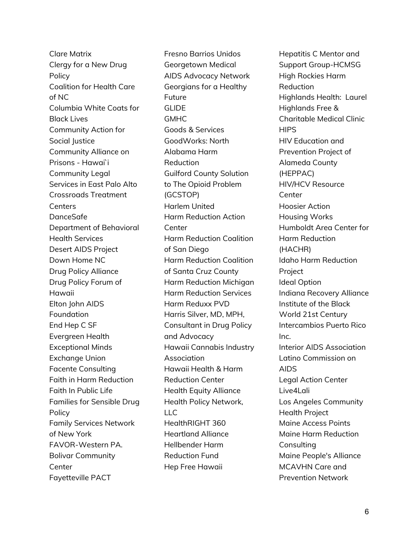Clare Matrix Clergy for a New Drug Policy Coalition for Health Care of NC Columbia White Coats for Black Lives Community Action for Social Justice Community Alliance on Prisons - Hawai`i Community Legal Services in East Palo Alto Crossroads Treatment **Centers** DanceSafe Department of Behavioral Health Services Desert AIDS Project Down Home NC Drug Policy Alliance Drug Policy Forum of Hawaii Elton John AIDS Foundation End Hep C SF Evergreen Health Exceptional Minds Exchange Union Facente Consulting Faith in Harm Reduction Faith In Public Life Families for Sensible Drug Policy Family Services Network of New York FAVOR-Western PA. Bolivar Community **Center** Fayetteville PACT

Fresno Barrios Unidos Georgetown Medical AIDS Advocacy Network Georgians for a Healthy Future **GLIDE** GMHC Goods & Services GoodWorks: North Alabama Harm Reduction Guilford County Solution to The Opioid Problem (GCSTOP) Harlem United Harm Reduction Action Center Harm Reduction Coalition of San Diego Harm Reduction Coalition of Santa Cruz County Harm Reduction Michigan Harm Reduction Services Harm Reduxx PVD Harris Silver, MD, MPH, Consultant in Drug Policy and Advocacy Hawaii Cannabis Industry Association Hawaii Health & Harm Reduction Center Health Equity Alliance Health Policy Network,  $\sqcup$ HealthRIGHT 360 Heartland Alliance Hellbender Harm Reduction Fund Hep Free Hawaii

Hepatitis C Mentor and Support Group-HCMSG High Rockies Harm Reduction Highlands Health: Laurel Highlands Free & Charitable Medical Clinic **HIPS** HIV Education and Prevention Project of Alameda County (HEPPAC) HIV/HCV Resource **Center** Hoosier Action Housing Works Humboldt Area Center for Harm Reduction (HACHR) Idaho Harm Reduction Project Ideal Option Indiana Recovery Alliance Institute of the Black World 21st Century Intercambios Puerto Rico Inc. Interior AIDS Association Latino Commission on AIDS Legal Action Center Live4Lali Los Angeles Community Health Project Maine Access Points Maine Harm Reduction **Consulting** Maine People's Alliance MCAVHN Care and Prevention Network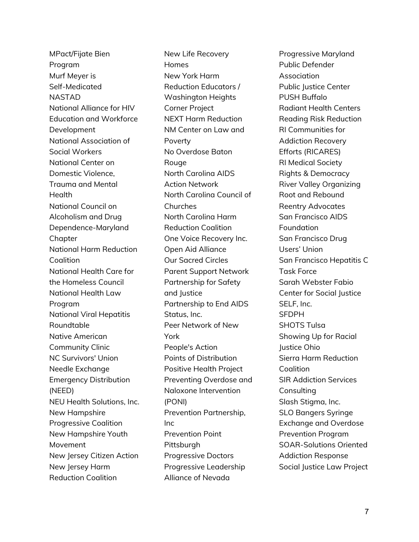MPact/Fijate Bien Program Murf Meyer is Self-Medicated NASTAD National Alliance for HIV Education and Workforce Development National Association of Social Workers National Center on Domestic Violence, Trauma and Mental Health National Council on Alcoholism and Drug Dependence-Maryland **Chapter** National Harm Reduction Coalition National Health Care for the Homeless Council National Health Law Program National Viral Hepatitis Roundtable Native American Community Clinic NC Survivors' Union Needle Exchange Emergency Distribution (NEED) NEU Health Solutions, Inc. New Hampshire Progressive Coalition New Hampshire Youth Movement New Jersey Citizen Action New Jersey Harm Reduction Coalition

New Life Recovery Homes New York Harm Reduction Educators / Washington Heights Corner Project NEXT Harm Reduction NM Center on Law and Poverty No Overdose Baton **Rouge** North Carolina AIDS Action Network North Carolina Council of Churches North Carolina Harm Reduction Coalition One Voice Recovery Inc. Open Aid Alliance Our Sacred Circles Parent Support Network Partnership for Safety and Justice Partnership to End AIDS Status, Inc. Peer Network of New York People's Action Points of Distribution Positive Health Project Preventing Overdose and Naloxone Intervention (PONI) Prevention Partnership, Inc Prevention Point Pittsburgh Progressive Doctors Progressive Leadership Alliance of Nevada

Progressive Maryland Public Defender Association Public Justice Center PUSH Buffalo Radiant Health Centers Reading Risk Reduction RI Communities for Addiction Recovery Efforts (RICARES) RI Medical Society Rights & Democracy River Valley Organizing Root and Rebound Reentry Advocates San Francisco AIDS Foundation San Francisco Drug Users' Union San Francisco Hepatitis C Task Force Sarah Webster Fabio Center for Social Justice SELF, Inc. **SFDPH** SHOTS Tulsa Showing Up for Racial Justice Ohio Sierra Harm Reduction Coalition SIR Addiction Services **Consulting** Slash Stigma, Inc. SLO Bangers Syringe Exchange and Overdose Prevention Program SOAR-Solutions Oriented Addiction Response Social Justice Law Project